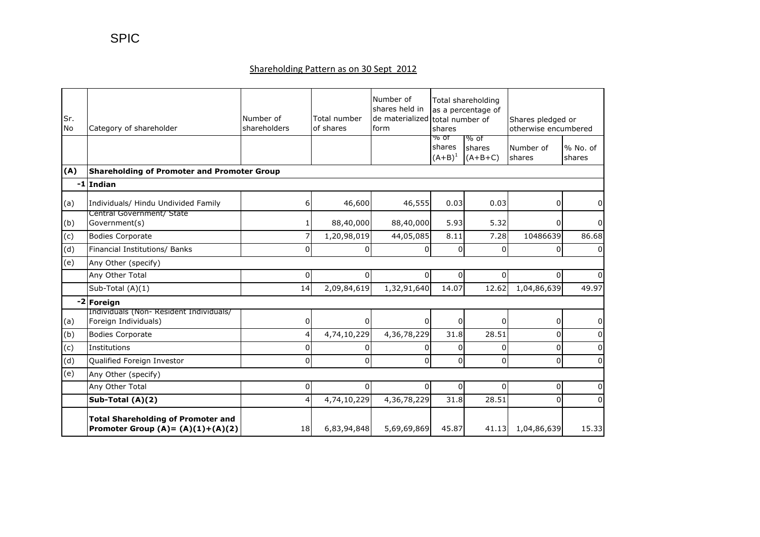## Shareholding Pattern as on 30 Sept 2012

| Sr.<br><b>No</b> | Category of shareholder                                                           | Number of<br>shareholders | Total number<br>of shares | Number of<br>shares held in<br>form | Total shareholding<br>as a percentage of<br>de materialized total number of<br>shares |                             | Shares pledged or<br>otherwise encumbered |                    |  |
|------------------|-----------------------------------------------------------------------------------|---------------------------|---------------------------|-------------------------------------|---------------------------------------------------------------------------------------|-----------------------------|-------------------------------------------|--------------------|--|
|                  |                                                                                   |                           |                           |                                     | % of<br>shares<br>$(A+B)^1$                                                           | % of<br>shares<br>$(A+B+C)$ | Number of<br>shares                       | % No. of<br>shares |  |
| (A)              | <b>Shareholding of Promoter and Promoter Group</b>                                |                           |                           |                                     |                                                                                       |                             |                                           |                    |  |
|                  | $-1$ Indian                                                                       |                           |                           |                                     |                                                                                       |                             |                                           |                    |  |
| (a)              | Individuals/ Hindu Undivided Family                                               | 6                         | 46,600                    | 46,555                              | 0.03                                                                                  | 0.03                        | 0                                         | 0                  |  |
| (b)              | Central Government/ State<br>Government(s)                                        |                           | 88,40,000                 | 88,40,000                           | 5.93                                                                                  | 5.32                        | 0                                         | 0                  |  |
| (c)              | <b>Bodies Corporate</b>                                                           |                           | 1,20,98,019               | 44,05,085                           | 8.11                                                                                  | 7.28                        | 10486639                                  | 86.68              |  |
| (d)              | Financial Institutions/ Banks                                                     | $\Omega$                  | $\Omega$                  | $\Omega$                            | $\Omega$                                                                              | $\Omega$                    | $\Omega$                                  | $\Omega$           |  |
| (e)              | Any Other (specify)                                                               |                           |                           |                                     |                                                                                       |                             |                                           |                    |  |
|                  | Any Other Total                                                                   | 0                         | $\Omega$                  | $\Omega$                            | 0                                                                                     | 0                           | $\Omega$                                  | $\Omega$           |  |
|                  | Sub-Total (A)(1)                                                                  | 14                        | 2,09,84,619               | 1,32,91,640                         | 14.07                                                                                 | 12.62                       | 1,04,86,639                               | 49.97              |  |
|                  | -2 Foreign                                                                        |                           |                           |                                     |                                                                                       |                             |                                           |                    |  |
| (a)              | Individuals (Non-Resident Individuals/<br>Foreign Individuals)                    | 0                         | 0                         | $\Omega$                            | 0                                                                                     | U                           | 0                                         | 0                  |  |
| (b)              | <b>Bodies Corporate</b>                                                           |                           | 4,74,10,229               | 4,36,78,229                         | 31.8                                                                                  | 28.51                       | 0                                         | $\Omega$           |  |
| (c)              | Institutions                                                                      | 0                         | 0                         | $\Omega$                            | 0                                                                                     | 0                           | 0                                         | 0                  |  |
| (d)              | <b>Qualified Foreign Investor</b>                                                 | 0                         | $\Omega$                  | $\Omega$                            | $\Omega$                                                                              | U                           | $\Omega$                                  | $\Omega$           |  |
| (e)              | Any Other (specify)                                                               |                           |                           |                                     |                                                                                       |                             |                                           |                    |  |
|                  | Any Other Total                                                                   | 0                         | 0                         | $\overline{0}$                      | 0                                                                                     | 0                           | 0                                         | 0                  |  |
|                  | Sub-Total (A)(2)                                                                  |                           | 4,74,10,229               | 4,36,78,229                         | 31.8                                                                                  | 28.51                       | O                                         | 0                  |  |
|                  | <b>Total Shareholding of Promoter and</b><br>Promoter Group $(A) = (A)(1)+(A)(2)$ | 18                        | 6,83,94,848               | 5,69,69,869                         | 45.87                                                                                 | 41.13                       | 1,04,86,639                               | 15.33              |  |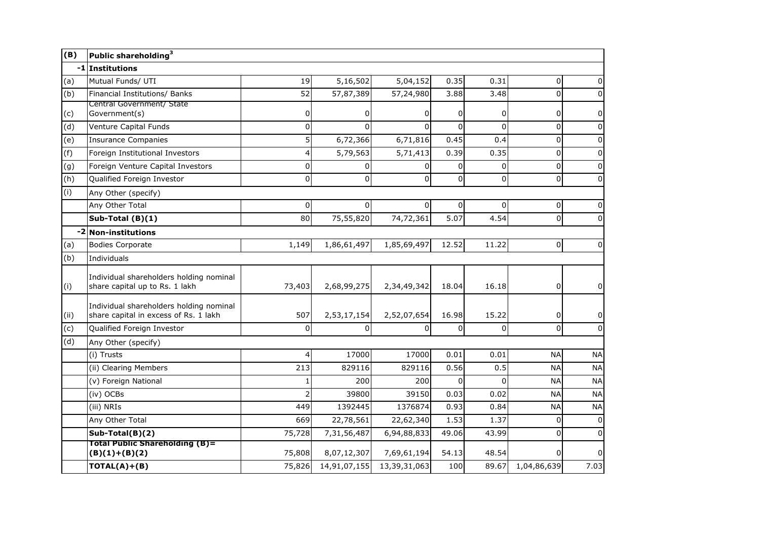| (B)  | Public shareholding <sup>3</sup>                                                 |                |              |                |          |          |             |                     |
|------|----------------------------------------------------------------------------------|----------------|--------------|----------------|----------|----------|-------------|---------------------|
|      | -1 Institutions                                                                  |                |              |                |          |          |             |                     |
| (a)  | Mutual Funds/ UTI                                                                | 19             | 5,16,502     | 5,04,152       | 0.35     | 0.31     | 0           | 0                   |
| (b)  | Financial Institutions/ Banks                                                    | 52             | 57,87,389    | 57,24,980      | 3.88     | 3.48     | $\Omega$    | $\mathbf 0$         |
| (c)  | Central Government/ State<br>Government(s)                                       | 0              | $\Omega$     | 0              | $\Omega$ | 0        | 0           | 0                   |
| (d)  | Venture Capital Funds                                                            | 0              | $\Omega$     | $\Omega$       | $\Omega$ | 0        | 0           | 0                   |
| (e)  | <b>Insurance Companies</b>                                                       | 5              | 6,72,366     | 6,71,816       | 0.45     | 0.4      | 0           | 0                   |
| (f)  | Foreign Institutional Investors                                                  | 4              | 5,79,563     | 5,71,413       | 0.39     | 0.35     | 0           | $\overline{0}$      |
| (g)  | Foreign Venture Capital Investors                                                | 0              | 0            | $\overline{0}$ | 0        | 0        | $\pmb{0}$   | 0                   |
| (h)  | Qualified Foreign Investor                                                       | 0              | 0            | $\Omega$       | $\Omega$ | 0        | $\mathbf 0$ | $\overline{0}$      |
| (i)  | Any Other (specify)                                                              |                |              |                |          |          |             |                     |
|      | Any Other Total                                                                  | $\Omega$       | $\Omega$     | $\Omega$       | $\Omega$ | $\Omega$ | 0           | 0                   |
|      | Sub-Total (B)(1)                                                                 | 80             | 75,55,820    | 74,72,361      | 5.07     | 4.54     | $\mathbf 0$ | 0                   |
|      | -2 Non-institutions                                                              |                |              |                |          |          |             |                     |
| (a)  | <b>Bodies Corporate</b>                                                          | 1,149          | 1,86,61,497  | 1,85,69,497    | 12.52    | 11.22    | 0           | $\mathbf 0$         |
| (b)  | Individuals                                                                      |                |              |                |          |          |             |                     |
| (i)  | Individual shareholders holding nominal<br>share capital up to Rs. 1 lakh        | 73,403         | 2,68,99,275  | 2,34,49,342    | 18.04    | 16.18    | 0           | 0                   |
| (ii) | Individual shareholders holding nominal<br>share capital in excess of Rs. 1 lakh | 507            | 2,53,17,154  | 2,52,07,654    | 16.98    | 15.22    | 0           | 0                   |
| (c)  | Qualified Foreign Investor                                                       | 0              | $\Omega$     | $\Omega$       | $\Omega$ | 0        | 0           | $\mathsf{O}\xspace$ |
| (d)  | Any Other (specify)                                                              |                |              |                |          |          |             |                     |
|      | (i) Trusts                                                                       | 4              | 17000        | 17000          | 0.01     | 0.01     | <b>NA</b>   | <b>NA</b>           |
|      | (ii) Clearing Members                                                            | 213            | 829116       | 829116         | 0.56     | 0.5      | <b>NA</b>   | <b>NA</b>           |
|      | (v) Foreign National                                                             | 1              | 200          | 200            | 0        | 0        | <b>NA</b>   | <b>NA</b>           |
|      | (iv) OCBs                                                                        | $\overline{2}$ | 39800        | 39150          | 0.03     | 0.02     | <b>NA</b>   | <b>NA</b>           |
|      | (iii) NRIs                                                                       | 449            | 1392445      | 1376874        | 0.93     | 0.84     | <b>NA</b>   | <b>NA</b>           |
|      | Any Other Total                                                                  | 669            | 22,78,561    | 22,62,340      | 1.53     | 1.37     | 0           | $\pmb{0}$           |
|      | Sub-Total(B)(2)                                                                  | 75,728         | 7,31,56,487  | 6,94,88,833    | 49.06    | 43.99    | $\Omega$    | $\mathbf 0$         |
|      | <b>Total Public Shareholding (B)=</b><br>$(B)(1)+(B)(2)$                         | 75,808         | 8,07,12,307  | 7,69,61,194    | 54.13    | 48.54    | 0           | $\overline{0}$      |
|      | $TOTAL(A)+(B)$                                                                   | 75,826         | 14,91,07,155 | 13,39,31,063   | 100      | 89.67    | 1,04,86,639 | 7.03                |